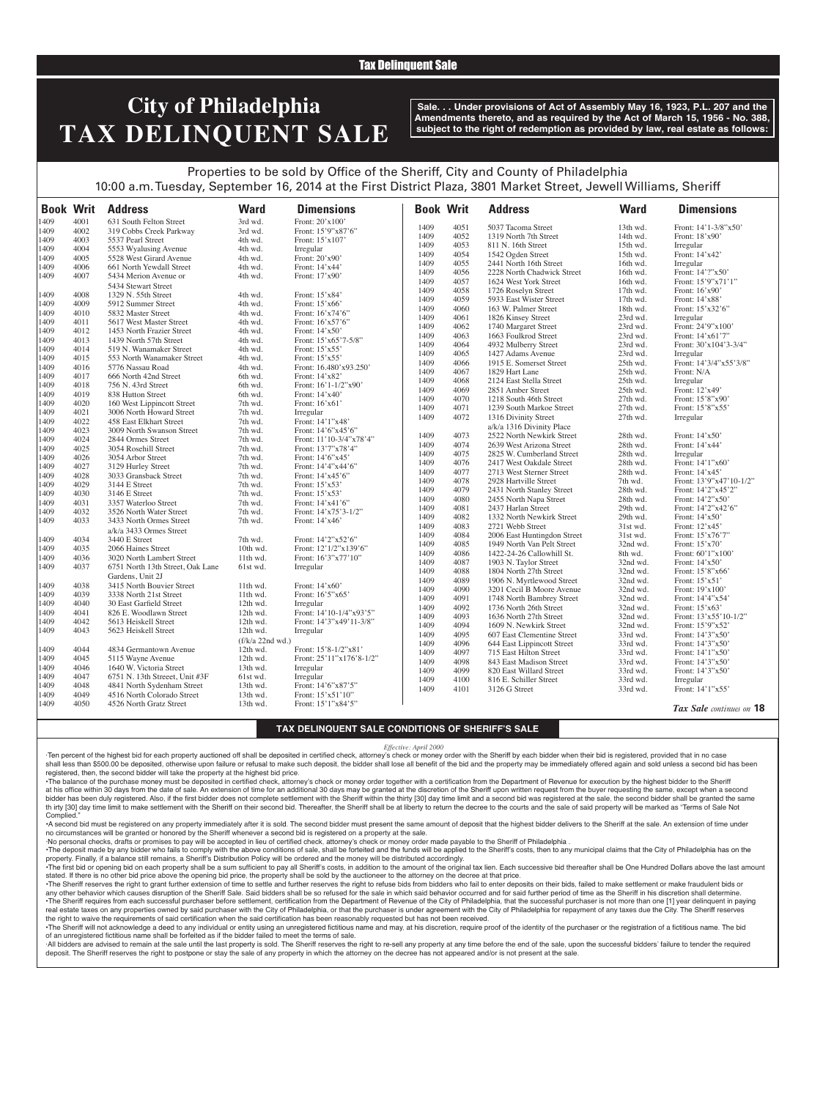### Tax Delinquent Sale

# **City of Philadelphia TAX DELINQUENT SALE**

**Sale. . . Under provisions of Act of Assembly May 16, 1923, P.L. 207 and the Amendments thereto, and as required by the Act of March 15, 1956 - No. 388, subject to the right of redemption as provided by law, real estate as follows:**

## Properties to be sold by Office of the Sheriff, City and County of Philadelphia 10:00 a.m. Tuesday, September 16, 2014 at the First District Plaza, 3801 Market Street, Jewell Williams, Sheriff

| <b>Book Writ</b> |      | <b>Address</b>                   | <b>Ward</b>      | <b>Dimensions</b>        | <b>Book Writ</b> |      | <b>Address</b>              | <b>Ward</b> | <b>Dimensions</b>        |
|------------------|------|----------------------------------|------------------|--------------------------|------------------|------|-----------------------------|-------------|--------------------------|
| 1409             | 4001 | 631 South Felton Street          | 3rd wd.          | Front: 20'x100'          |                  |      |                             |             |                          |
| 1409             | 4002 | 319 Cobbs Creek Parkway          | 3rd wd.          | Front: 15'9"x87'6"       | 1409             | 4051 | 5037 Tacoma Street          | 13th wd.    | Front: 14'1-3/8"x50'     |
| 1409             | 4003 | 5537 Pearl Street                | 4th wd.          | Front: 15'x107           | 1409             | 4052 | 1319 North 7th Street       | 14th wd.    | Front: 18'x90'           |
| 1409             | 4004 | 5553 Wyalusing Avenue            | 4th wd.          | Irregular                | 1409             | 4053 | 811 N. 16th Street          | 15th wd.    | Irregular                |
| 1409             | 4005 | 5528 West Girard Avenue          | 4th wd.          | Front: 20'x90'           | 1409             | 4054 | 1542 Ogden Street           | 15th wd.    | Front: 14'x42'           |
| 1409             | 4006 | 661 North Yewdall Street         | 4th wd.          | Front: 14'x44'           | 1409             | 4055 | 2441 North 16th Street      | 16th wd.    | Irregular                |
| 1409             | 4007 | 5434 Merion Avenue or            | 4th wd.          | Front: 17'x90'           | 1409             | 4056 | 2228 North Chadwick Street  | 16th wd.    | Front: 14'?"x50'         |
|                  |      | 5434 Stewart Street              |                  |                          | 1409             | 4057 | 1624 West York Street       | 16th wd.    | Front: 15'9"x71'1"       |
| 1409             | 4008 | 1329 N. 55th Street              | 4th wd.          | Front: 15'x84'           | 1409             | 4058 | 1726 Roselyn Street         | 17th wd.    | Front: 16'x90'           |
| 1409             | 4009 | 5912 Summer Street               | 4th wd.          | Front: 15'x66'           | 1409             | 4059 | 5933 East Wister Street     | 17th wd.    | Front: 14'x88'           |
| 1409             | 4010 | 5832 Master Street               | 4th wd.          | Front: 16'x74'6"         | 1409             | 4060 | 163 W. Palmer Street        | 18th wd.    | Front: 15'x32'6"         |
| 1409             | 4011 | 5617 West Master Street          | 4th wd.          | Front: 16'x57'6"         | 1409             | 4061 | 1826 Kinsey Street          | 23rd wd.    | Irregular                |
| 1409             | 4012 | 1453 North Frazier Street        | 4th wd.          | Front: $14'x50'$         | 1409             | 4062 | 1740 Margaret Street        | 23rd wd.    | Front: 24'9"x100'        |
| 1409             | 4013 | 1439 North 57th Street           | 4th wd.          | Front: 15'x65'7-5/8"     | 1409             | 4063 | 1663 Foulkrod Street        | 23rd wd.    | Front: 14'x61'7"         |
| 1409             | 4014 | 519 N. Wanamaker Street          | 4th wd.          | Front: 15'x55'           | 1409             | 4064 | 4932 Mulberry Street        | 23rd wd.    | Front: 30'x104'3-3/4"    |
| 1409             | 4015 | 553 North Wanamaker Street       | 4th wd.          | Front: 15'x55'           | 1409             | 4065 | 1427 Adams Avenue           | 23rd wd.    | Irregular                |
| 1409             | 4016 | 5776 Nassau Road                 | 4th wd.          | Front: 16.480'x93.250'   | 1409             | 4066 | 1915 E. Somerset Street     | 25th wd.    | Front: 14'3/4"x55'3/8"   |
| 1409             | 4017 | 666 North 42nd Street            | 6th wd.          | Front: 14'x82'           | 1409             | 4067 | 1829 Hart Lane              | 25th wd.    | Front: N/A               |
| 1409             | 4018 | 756 N. 43rd Street               | 6th wd.          | Front: 16'1-1/2"x90'     | 1409             | 4068 | 2124 East Stella Street     | 25th wd.    | Irregular                |
| 1409             | 4019 | 838 Hutton Street                | 6th wd.          | Front: 14'x40'           | 1409             | 4069 | 2851 Amber Street           | 25th wd.    | Front: 12'x49'           |
| 1409             | 4020 | 160 West Lippincott Street       | 7th wd.          | Front: 16'x61'           | 1409             | 4070 | 1218 South 46th Street      | 27th wd.    | Front: 15'8"x90'         |
| 1409             | 4021 | 3006 North Howard Street         | 7th wd.          | Irregular                | 1409             | 4071 | 1239 South Markoe Street    | 27th wd.    | Front: 15'8"x55'         |
| 1409             | 4022 | 458 East Elkhart Street          | 7th wd.          | Front: 14'1"x48'         | 1409             | 4072 | 1316 Divinity Street        | 27th wd.    | Irregular                |
| 1409             | 4023 | 3009 North Swanson Street        | 7th wd.          | Front: 14'6"x45'6"       |                  |      | a/k/a 1316 Divinity Place   |             |                          |
| 1409             | 4024 | 2844 Ormes Street                | 7th wd.          | Front: 11'10-3/4"x78'4"  | 1409             | 4073 | 2522 North Newkirk Street   | 28th wd.    | Front: 14'x50'           |
| 1409             | 4025 | 3054 Rosehill Street             | 7th wd.          | Front: 13'7"x78'4"       | 1409             | 4074 | 2639 West Arizona Street    | 28th wd.    | Front: 14'x44'           |
| 1409             | 4026 |                                  | 7th wd.          | Front: 14'6"x45'         | 1409             | 4075 | 2825 W. Cumberland Street   | 28th wd.    | Irregular                |
| 1409             | 4027 | 3054 Arbor Street                | 7th wd.          |                          | 1409             | 4076 | 2417 West Oakdale Street    | 28th wd.    | Front: 14'1"x60'         |
|                  |      | 3129 Hurley Street               |                  | Front: 14'4"x44'6"       | 1409             | 4077 | 2713 West Sterner Street    | 28th wd.    | Front: 14'x45'           |
| 1409             | 4028 | 3033 Gransback Street            | 7th wd.          | Front: 14'x45'6"         | 1409             | 4078 | 2928 Hartville Street       | 7th wd.     | Front: 13'9"x47'10-1/2"  |
| 1409             | 4029 | 3144 E Street                    | 7th wd.          | Front: 15'x53'           | 1409             | 4079 | 2431 North Stanley Street   | 28th wd.    | Front: 14'2"x45'2"       |
| 1409             | 4030 | 3146 E Street                    | 7th wd.          | Front: 15'x53'           | 1409             | 4080 | 2455 North Napa Street      | 28th wd.    | Front: 14'2"x50'         |
| 1409             | 4031 | 3357 Waterloo Street             | 7th wd.          | Front: 14'x41'6"         | 1409             | 4081 | 2437 Harlan Street          | 29th wd.    | Front: 14'2"x42'6"       |
| 1409             | 4032 | 3526 North Water Street          | 7th wd.          | Front: $14'x75'3-1/2"$   | 1409             | 4082 | 1332 North Newkirk Street   | 29th wd.    | Front: 14'x50'           |
| 1409             | 4033 | 3433 North Ormes Street          | 7th wd.          | Front: 14'x46'           | 1409             | 4083 | 2721 Webb Street            | 31st wd.    | Front: 12'x45'           |
|                  |      | a/k/a 3433 Ormes Street          |                  |                          | 1409             | 4084 | 2006 East Huntingdon Street | 31st wd.    | Front: 15'x76'7"         |
| 1409             | 4034 | 3440 E Street                    | 7th wd.          | Front: 14'2"x52'6"       | 1409             | 4085 | 1949 North Van Pelt Street  | 32nd wd.    | Front: 15'x70'           |
| 1409             | 4035 | 2066 Haines Street               | 10th wd.         | Front: 12'1/2"x139'6"    | 1409             | 4086 | 1422-24-26 Callowhill St.   | 8th wd.     | Front: 60'1"x100'        |
| 1409             | 4036 | 3020 North Lambert Street        | 11th wd.         | Front: 16'3"x77'10"      | 1409             | 4087 | 1903 N. Taylor Street       | 32nd wd.    | Front: 14'x50'           |
| 1409             | 4037 | 6751 North 13th Street, Oak Lane | 61st wd.         | Irregular                | 1409             | 4088 | 1804 North 27th Street      | 32nd wd.    | Front: 15'8"x66'         |
|                  |      | Gardens, Unit 2J                 |                  |                          | 1409             | 4089 | 1906 N. Myrtlewood Street   | 32nd wd.    | Front: 15'x51'           |
| 1409             | 4038 | 3415 North Bouvier Street        | 11th wd.         | Front: 14'x60'           | 1409             | 4090 | 3201 Cecil B Moore Avenue   | 32nd wd.    | Front: 19'x100'          |
| 1409             | 4039 | 3338 North 21st Street           | 11th wd.         | Front: 16'5"x65"         | 1409             | 4091 | 1748 North Bambrey Street   | 32nd wd.    | Front: 14'4"x54'         |
| 1409             | 4040 | 30 East Garfield Street          | 12th wd.         | Irregular                | 1409             | 4092 | 1736 North 26th Street      | 32nd wd.    | Front: 15'x63'           |
| 1409             | 4041 | 826 E. Woodlawn Street           | 12th wd.         | Front: 14'10-1/4"x93'5"  | 1409             | 4093 | 1636 North 27th Street      | 32nd wd.    | Front: 13'x55'10-1/2"    |
| 1409             | 4042 | 5613 Heiskell Street             | 12th wd.         | Front: 14'3"x49'11-3/8"  | 1409             | 4094 | 1609 N. Newkirk Street      | 32nd wd.    | Front: 15'9"x52'         |
| 1409             | 4043 | 5623 Heiskell Street             | 12th wd.         | Irregular                | 1409             |      |                             |             |                          |
|                  |      |                                  | (f/k/a 22nd wd.) |                          |                  | 4095 | 607 East Clementine Street  | 33rd wd.    | Front: 14'3"x50"         |
| 1409             | 4044 | 4834 Germantown Avenue           | 12th wd.         | Front: 15'8-1/2"x81'     | 1409             | 4096 | 644 East Lippincott Street  | 33rd wd.    | Front: 14'3"x50"         |
| 1409             | 4045 | 5115 Wayne Avenue                | 12th wd.         | Front: 25'11"x176'8-1/2" | 1409             | 4097 | 715 East Hilton Street      | 33rd wd.    | Front: 14'1"x50'         |
| 1409             | 4046 | 1640 W. Victoria Street          | 13th wd.         | Irregular                | 1409             | 4098 | 843 East Madison Street     | 33rd wd.    | Front: 14'3"x50"         |
| 1409             | 4047 | 6751 N. 13th Streeet, Unit #3F   | 61st wd.         | Irregular                | 1409             | 4099 | 820 East Willard Street     | 33rd wd.    | Front: 14'3"x50'         |
| 1409             | 4048 | 4841 North Sydenham Street       | 13th wd.         | Front: 14'6"x87'5"       | 1409             | 4100 | 816 E. Schiller Street      | 33rd wd.    | Irregular                |
| 1409             | 4049 | 4516 North Colorado Street       | 13th wd.         | Front: 15'x51'10"        | 1409             | 4101 | 3126 G Street               | 33rd wd.    | Front: 14'1"x55'         |
| 1409             | 4050 | 4526 North Gratz Street          | 13th wd.         | Front: 15'1"x84'5"       |                  |      |                             |             | Tax Sale continues on 18 |

#### **TAX DELINQUENT SALE CONDITIONS OF SHERIFF'S SALE**

#### *Effective: April 2000*

·Ten percent of the highest bid for each property auctioned off shall be deposited in certified check, attorney's check or money order with the Sheriff by each bidder when their bid is registered, provided that in no case shall less than \$500.00 be deposited, otherwise upon failure or refusal to make such deposit, the bidder shall lose all benefit of the bid and the property may be immediately offered again and sold unless a second bid has registered, then, the second bidder will take the property at the highest bid price.

•The balance of the purchase money must be deposited in certified check, attorney's check or money order together with a certification from the Department of Revenue for execution by the highest bidder to the Sheriff at his office within 30 days from the date of sale. An extension of time for an additional 30 days may be granted at the discretion of the Sheriff upon written request from the buyer requesting the same, except when a second bidder has been duly registered. Also, if the first bidder does not complete settlement with the Sheriff within the thirty [30] day time limit and a second bid was registered at the sale, the second bidder shall be granted th irty [30] day time limit to make settlement with the Sheriff on their second bid. Thereafter, the Sheriff shall be at liberty to return the decree to the courts and the sale of said property will be marked as "Terms of Complied.

•A second bid must be registered on any property immediately after it is sold. The second bidder must present the same amount of deposit that the highest bidder delivers to the Sheriff at the sale. An extension of time under no circumstances will be granted or honored by the Sheriff whenever a second bid is registered on a property at the sale.

·No personal checks, drafts or promises to pay will be accepted in lieu of certified check, attorney's check or money order made payable to the Sheriff of Philadelphia .

. The deposit made by any bidder who fails to comply with the above conditions of sale, shall be forteited and the funds will be applied to the Sheriff's costs, then to any municipal claims that the City of Philadelphia ha property. Finally, if a balance still remains, a Sheriff's Distribution Policy will be ordered and the money will be distributed accordingly.

The first bid or opening bid on each property shall be a sum sufficient to pay all Sheriff's costs, in addition to the amount of the original tax lien. Each successive bid thereafter shall be One Hundred Dollars above the stated. If there is no other bid price above the opening bid price, the property shall be sold by the auctioneer to the attorney on the decree at that price.

·The Sheriff reserves the right to grant further extension of time to settle and further reserves the right to refuse bids from bidders who fail to enter deposits on their bids, failed to make settlement or make fraudulent any other behavior which causes disruption of the Sheriff Sale. Said bidders shall be so refused for the sale in which said behavior occurred and for said further period of time as the Sheriff in his discretion shall deter . The Sheriff requires from each successful purchaser before settlement, certification from the Department of Revenue of the City of Philadelphia, that the successful purchaser is not more than one [1] year delinquent in p real estate taxes on any properties owned by said purchaser with the City of Philadelphia, or that the purchaser is under agreement with the City of Philadelphia for repayment of any taxes due the City. The Sheriff reserves the right to waive the requirements of said certification when the said certification has been reasonably requested but has not been received ·The Sheriff will not acknowledge a deed to any individual or entity using an unregistered fictitious name and may, at his discretion, require proof of the identity of the purchaser or the registration of a fictitious name

of an unregistered fictitious name shall be forfeited as if the bidder failed to meet the terms of sale. All bidders are advised to remain at the sale until the last property is sold. The Sheriff reserves the right to re-sell any property at any time before the end of the sale, upon the successful bidders' failure to tender t

deposit. The Sheriff reserves the right to postpone or stay the sale of any property in which the attorney on the decree has not appeared and/or is not present at the sale.